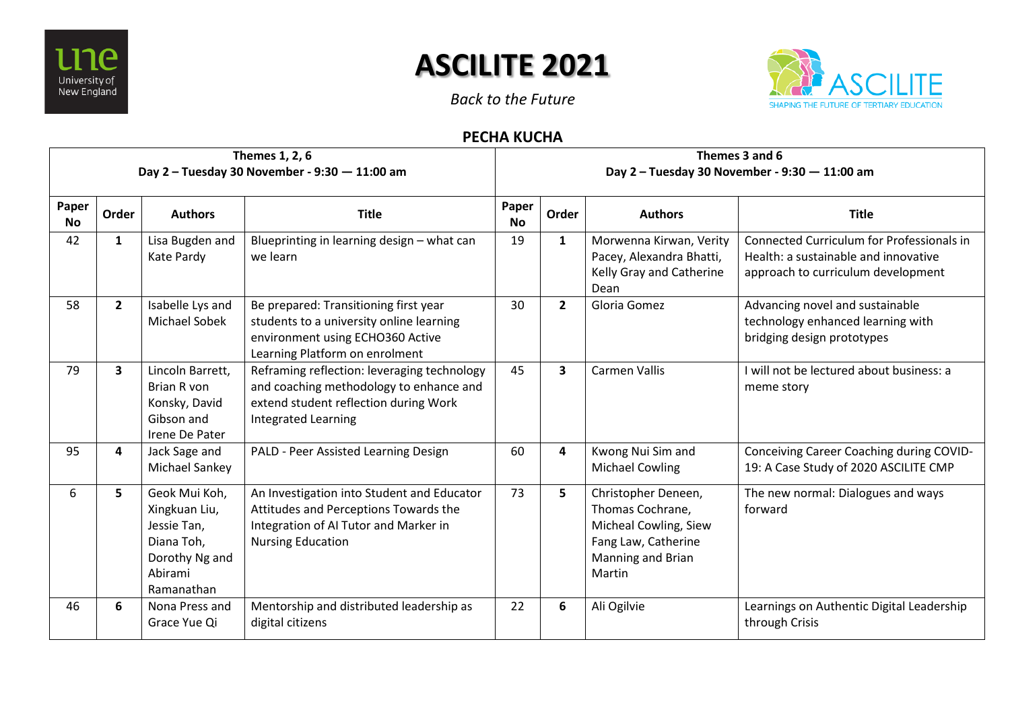

## **ASCILITE 2021**

*Back to the Future*



## **PECHA KUCHA**

| Themes 1, 2, 6<br>Day 2 - Tuesday 30 November - 9:30 - 11:00 am |                |                                                                                                        |                                                                                                                                                               |                    | Themes 3 and 6<br>Day 2 - Tuesday 30 November - 9:30 - 11:00 am |                                                                                                                        |                                                                                                                                |  |  |
|-----------------------------------------------------------------|----------------|--------------------------------------------------------------------------------------------------------|---------------------------------------------------------------------------------------------------------------------------------------------------------------|--------------------|-----------------------------------------------------------------|------------------------------------------------------------------------------------------------------------------------|--------------------------------------------------------------------------------------------------------------------------------|--|--|
| Paper<br><b>No</b>                                              | Order          | <b>Authors</b>                                                                                         | <b>Title</b>                                                                                                                                                  | Paper<br><b>No</b> | Order                                                           | <b>Authors</b>                                                                                                         | <b>Title</b>                                                                                                                   |  |  |
| 42                                                              | $\mathbf{1}$   | Lisa Bugden and<br>Kate Pardy                                                                          | Blueprinting in learning design - what can<br>we learn                                                                                                        | 19                 | $\mathbf{1}$                                                    | Morwenna Kirwan, Verity<br>Pacey, Alexandra Bhatti,<br>Kelly Gray and Catherine<br>Dean                                | <b>Connected Curriculum for Professionals in</b><br>Health: a sustainable and innovative<br>approach to curriculum development |  |  |
| 58                                                              | $\overline{2}$ | Isabelle Lys and<br>Michael Sobek                                                                      | Be prepared: Transitioning first year<br>students to a university online learning<br>environment using ECHO360 Active<br>Learning Platform on enrolment       | 30                 | $\overline{2}$                                                  | Gloria Gomez                                                                                                           | Advancing novel and sustainable<br>technology enhanced learning with<br>bridging design prototypes                             |  |  |
| 79                                                              | 3              | Lincoln Barrett,<br>Brian R von<br>Konsky, David<br>Gibson and<br>Irene De Pater                       | Reframing reflection: leveraging technology<br>and coaching methodology to enhance and<br>extend student reflection during Work<br><b>Integrated Learning</b> | 45                 | $\overline{\mathbf{3}}$                                         | <b>Carmen Vallis</b>                                                                                                   | I will not be lectured about business: a<br>meme story                                                                         |  |  |
| 95                                                              | 4              | Jack Sage and<br>Michael Sankey                                                                        | PALD - Peer Assisted Learning Design                                                                                                                          | 60                 | 4                                                               | Kwong Nui Sim and<br><b>Michael Cowling</b>                                                                            | Conceiving Career Coaching during COVID-<br>19: A Case Study of 2020 ASCILITE CMP                                              |  |  |
| 6                                                               | 5              | Geok Mui Koh,<br>Xingkuan Liu,<br>Jessie Tan,<br>Diana Toh,<br>Dorothy Ng and<br>Abirami<br>Ramanathan | An Investigation into Student and Educator<br>Attitudes and Perceptions Towards the<br>Integration of AI Tutor and Marker in<br><b>Nursing Education</b>      | 73                 | 5                                                               | Christopher Deneen,<br>Thomas Cochrane,<br>Micheal Cowling, Siew<br>Fang Law, Catherine<br>Manning and Brian<br>Martin | The new normal: Dialogues and ways<br>forward                                                                                  |  |  |
| 46                                                              | 6              | Nona Press and<br>Grace Yue Qi                                                                         | Mentorship and distributed leadership as<br>digital citizens                                                                                                  | 22                 | 6                                                               | Ali Ogilvie                                                                                                            | Learnings on Authentic Digital Leadership<br>through Crisis                                                                    |  |  |